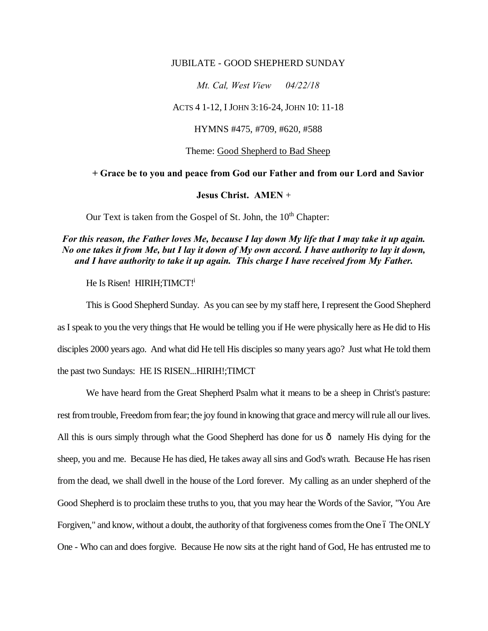## JUBILATE - GOOD SHEPHERD SUNDAY

*Mt. Cal, West View 04/22/18*

ACTS 4 1-12, I JOHN 3:16-24, JOHN 10: 11-18

HYMNS #475, #709, #620, #588

Theme: Good Shepherd to Bad Sheep

**+ Grace be to you and peace from God our Father and from our Lord and Savior**

## **Jesus Christ. AMEN** +

Our Text is taken from the Gospel of St. John, the  $10<sup>th</sup>$  Chapter:

*For this reason, the Father loves Me, because I lay down My life that I may take it up again. No one takes it from Me, but I lay it down of My own accord. I have authority to lay it down, and I have authority to take it up again. This charge I have received from My Father.*

He Is Risen! HIRIH; TIMCT!

This is Good Shepherd Sunday. As you can see by my staff here, I represent the Good Shepherd as I speak to you the very things that He would be telling you if He were physically here as He did to His disciples 2000 years ago. And what did He tell His disciples so many years ago? Just what He told them the past two Sundays: HE IS RISEN...HIRIH!;TIMCT

We have heard from the Great Shepherd Psalm what it means to be a sheep in Christ's pasture: rest from trouble, Freedom from fear; the joy found in knowing that grace and mercy will rule all our lives. All this is ours simply through what the Good Shepherd has done for us  $\hat{o}$  namely His dying for the sheep, you and me. Because He has died, He takes away all sins and God's wrath. Because He has risen from the dead, we shall dwell in the house of the Lord forever. My calling as an under shepherd of the Good Shepherd is to proclaim these truths to you, that you may hear the Words of the Savior, "You Are Forgiven," and know, without a doubt, the authority of that forgiveness comes from the One 6 The ONLY One - Who can and does forgive. Because He now sits at the right hand of God, He has entrusted me to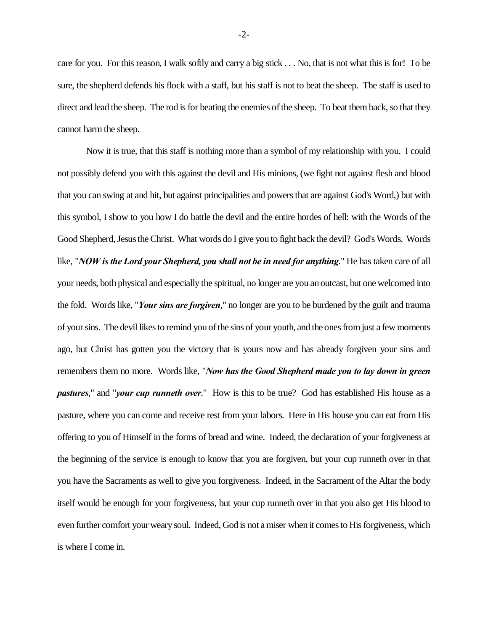care for you. For this reason, I walk softly and carry a big stick . . . No, that is not what this is for! To be sure, the shepherd defends his flock with a staff, but his staff is not to beat the sheep. The staff is used to direct and lead the sheep. The rod is for beating the enemies of the sheep. To beat them back, so that they cannot harm the sheep.

Now it is true, that this staff is nothing more than a symbol of my relationship with you. I could not possibly defend you with this against the devil and His minions, (we fight not against flesh and blood that you can swing at and hit, but against principalities and powers that are against God's Word,) but with this symbol, I show to you how I do battle the devil and the entire hordes of hell: with the Words of the Good Shepherd, Jesus theChrist. What words do I give you to fight back the devil? God's Words. Words like, "*NOW is the Lord your Shepherd, you shall not be in need for anything*." He has taken care of all your needs, both physical and especially the spiritual, no longer are you an outcast, but one welcomed into the fold. Words like, "*Your sins are forgiven*," no longer are you to be burdened by the guilt and trauma of your sins. The devil likes to remind you of the sins of your youth, and the ones from just a few moments ago, but Christ has gotten you the victory that is yours now and has already forgiven your sins and remembers them no more. Words like, "*Now has the Good Shepherd made you to lay down in green pastures*," and "*your cup runneth over*." How is this to be true? God has established His house as a pasture, where you can come and receive rest from your labors. Here in His house you can eat from His offering to you of Himself in the forms of bread and wine. Indeed, the declaration of your forgiveness at the beginning of the service is enough to know that you are forgiven, but your cup runneth over in that you have the Sacraments as well to give you forgiveness. Indeed, in the Sacrament of the Altar the body itself would be enough for your forgiveness, but your cup runneth over in that you also get His blood to even further comfort your weary soul. Indeed, God is not a miser when it comes to His forgiveness, which is where I come in.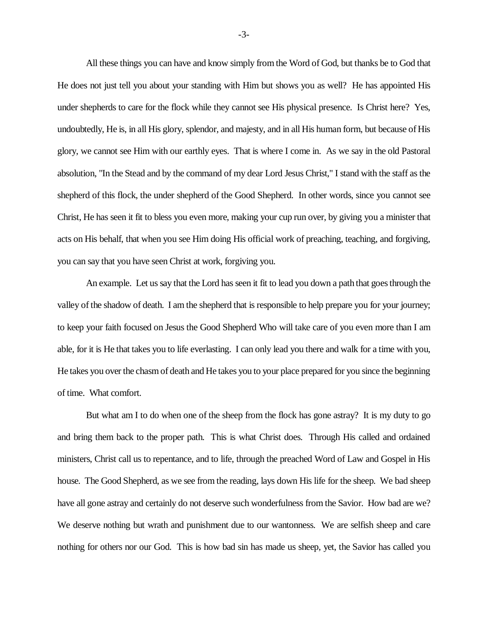All these things you can have and know simply from the Word of God, but thanks be to God that He does not just tell you about your standing with Him but shows you as well? He has appointed His under shepherds to care for the flock while they cannot see His physical presence. Is Christ here? Yes, undoubtedly, He is, in all His glory, splendor, and majesty, and in all His human form, but because of His glory, we cannot see Him with our earthly eyes. That is where I come in. As we say in the old Pastoral absolution, "In the Stead and by the command of my dear Lord Jesus Christ," I stand with the staff as the shepherd of this flock, the under shepherd of the Good Shepherd. In other words, since you cannot see Christ, He has seen it fit to bless you even more, making your cup run over, by giving you a minister that acts on His behalf, that when you see Him doing His official work of preaching, teaching, and forgiving, you can say that you have seen Christ at work, forgiving you.

An example. Let us say that the Lord has seen it fit to lead you down a path that goes through the valley of the shadow of death. I am the shepherd that is responsible to help prepare you for your journey; to keep your faith focused on Jesus the Good Shepherd Who will take care of you even more than I am able, for it is He that takes you to life everlasting. I can only lead you there and walk for a time with you, He takes you over the chasm of death and He takes you to your place prepared for you since the beginning of time. What comfort.

But what am I to do when one of the sheep from the flock has gone astray? It is my duty to go and bring them back to the proper path. This is what Christ does. Through His called and ordained ministers, Christ call us to repentance, and to life, through the preached Word of Law and Gospel in His house. The Good Shepherd, as we see from the reading, lays down His life for the sheep. We bad sheep have all gone astray and certainly do not deserve such wonderfulness from the Savior. How bad are we? We deserve nothing but wrath and punishment due to our wantonness. We are selfish sheep and care nothing for others nor our God. This is how bad sin has made us sheep, yet, the Savior has called you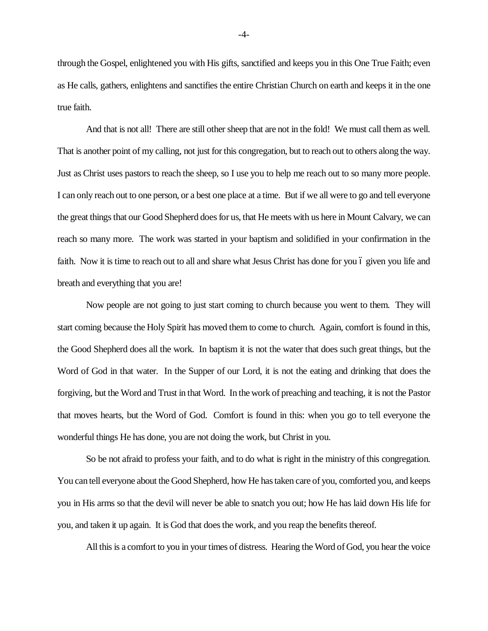through the Gospel, enlightened you with His gifts, sanctified and keeps you in this One True Faith; even as He calls, gathers, enlightens and sanctifies the entire Christian Church on earth and keeps it in the one true faith.

And that is not all! There are still other sheep that are not in the fold! We must call them as well. That is another point of my calling, not just for this congregation, but to reach out to others along the way. Just as Christ uses pastors to reach the sheep, so I use you to help me reach out to so many more people. I can only reach out to one person, or a best one place at a time. But if we all were to go and tell everyone the great things that our Good Shepherd does for us, that He meets with us here in Mount Calvary, we can reach so many more. The work was started in your baptism and solidified in your confirmation in the faith. Now it is time to reach out to all and share what Jesus Christ has done for you 6 given you life and breath and everything that you are!

Now people are not going to just start coming to church because you went to them. They will start coming because the Holy Spirit has moved them to come to church. Again, comfort is found in this, the Good Shepherd does all the work. In baptism it is not the water that does such great things, but the Word of God in that water. In the Supper of our Lord, it is not the eating and drinking that does the forgiving, but the Word and Trust in that Word. In the work of preaching and teaching, it is not the Pastor that moves hearts, but the Word of God. Comfort is found in this: when you go to tell everyone the wonderful things He has done, you are not doing the work, but Christ in you.

So be not afraid to profess your faith, and to do what is right in the ministry of this congregation. You can tell everyone about the Good Shepherd, how He has taken care of you, comforted you, and keeps you in His arms so that the devil will never be able to snatch you out; how He has laid down His life for you, and taken it up again. It is God that does the work, and you reap the benefits thereof.

All this is a comfort to you in your times of distress. Hearing the Word of God, you hear the voice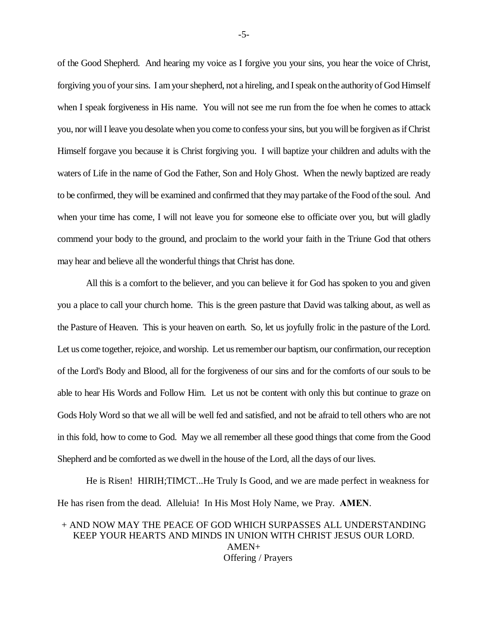of the Good Shepherd. And hearing my voice as I forgive you your sins, you hear the voice of Christ, forgiving you of your sins. I am your shepherd, not a hireling, and I speak on the authority of God Himself when I speak forgiveness in His name. You will not see me run from the foe when he comes to attack you, nor will I leave you desolate when you come to confess your sins, but you will be forgiven as if Christ Himself forgave you because it is Christ forgiving you. I will baptize your children and adults with the waters of Life in the name of God the Father, Son and Holy Ghost. When the newly baptized are ready to be confirmed, they will be examined and confirmed that they may partake of the Food of the soul. And when your time has come, I will not leave you for someone else to officiate over you, but will gladly commend your body to the ground, and proclaim to the world your faith in the Triune God that others may hear and believe all the wonderful things that Christ has done.

All this is a comfort to the believer, and you can believe it for God has spoken to you and given you a place to call your church home. This is the green pasture that David was talking about, as well as the Pasture of Heaven. This is your heaven on earth. So, let us joyfully frolic in the pasture of the Lord. Let us come together, rejoice, and worship. Let us remember our baptism, our confirmation, our reception of the Lord's Body and Blood, all for the forgiveness of our sins and for the comforts of our souls to be able to hear His Words and Follow Him. Let us not be content with only this but continue to graze on Gods Holy Word so that we all will be well fed and satisfied, and not be afraid to tell others who are not in this fold, how to come to God. May we all remember all these good things that come from the Good Shepherd and be comforted as we dwell in the house of the Lord, all the days of our lives.

He is Risen! HIRIH;TIMCT...He Truly Is Good, and we are made perfect in weakness for He has risen from the dead. Alleluia! In His Most Holy Name, we Pray. **AMEN**.

## + AND NOW MAY THE PEACE OF GOD WHICH SURPASSES ALL UNDERSTANDING KEEP YOUR HEARTS AND MINDS IN UNION WITH CHRIST JESUS OUR LORD. AMEN+ Offering / Prayers

-5-